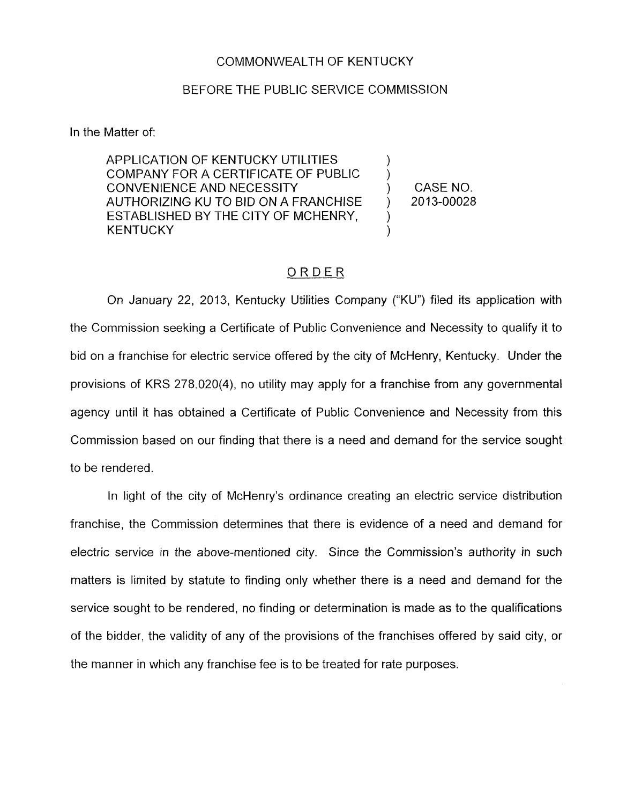## COMMONWEALTH OF KENTUCKY

## BEFORE THE PUBLIC SERVICE COMMISSION

In the Matter of:

APPLICATION OF KENTUCKY UTILITIES COMPANY FOR A CERTIFICATE OF PUBLIC CONVENIENCE AND NECESSITY ) CASENO. AUTHORIZING KU TO BID ON A FRANCHISE ) 2013-00028 ESTABLISHED BY THE CITY OF MCHENRY, **KENTUCKY** 

) )

## \_\_\_\_- ORDER

On January 22, 2013, Kentucky Utilities Company ("KU") filed its application with the Commission seeking a Certificate of Public Convenience and Necessity to qualify it to bid on a franchise for electric service offered by the city of McHenry, Kentucky. Under the provisions of KRS 278.020(4), no utility may apply for a franchise from any governmental agency until it has obtained a Certificate of Public Convenience and Necessity from this Commission based on our finding that there is a need and demand for the service sought to be rendered

In light of the city of McHenry's ordinance creating an electric service distribution franchise, the Commission determines that there is evidence of a need and demand for electric service in the above-mentioned city. Since the Commission's authority in such matters is limited by statute to finding only whether there is a need and demand for the service sought to be rendered, no finding or determination is made as to the qualifications of the bidder, the validity of any of the provisions of the franchises offered by said city, or the manner in which any franchise fee is to be treated for rate purposes.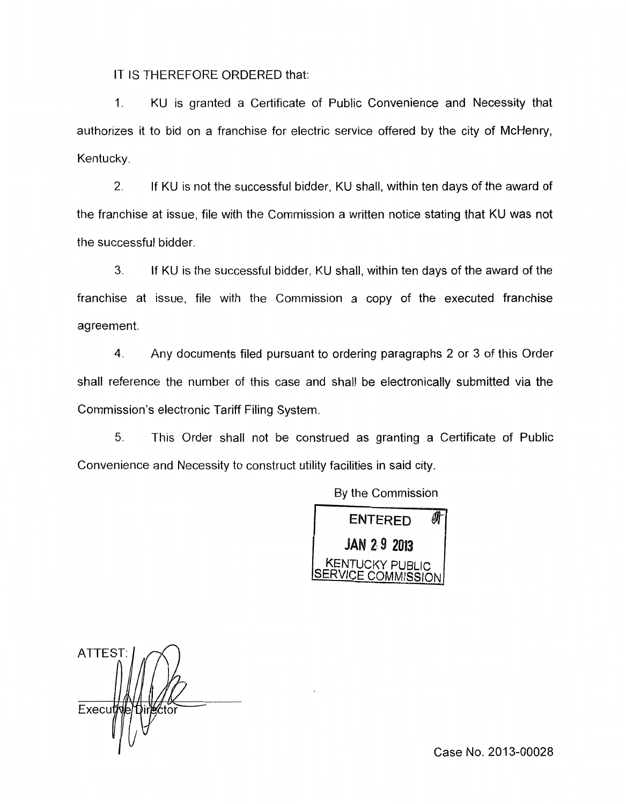IT IS THEREFORE ORDERED that:

1. KU is granted a Certificate of Public Convenience and Necessity that authorizes it to bid on a franchise for electric service offered by the city of McHenry, Kentucky.

2. If KU is not the successful bidder, KU shall, within ten days of the award of the franchise at issue, file with the Commission a written notice stating that KU was not the successful bidder.

3. If KU is the successful bidder, KU shall, within ten days of the award of the franchise at issue, file with the Commission a copy of the executed franchise agreement.

**4.** Any documents filed pursuant to ordering paragraphs 2 or 3 of this Order shall reference the number of this case and shall be electronically submitted via the Commission's electronic Tariff Filing System.

5. This Order shall not be construed as granting a Certificate of Public Convenience and Necessity to construct utility facilities in said city.



ATTEST: Execut

Case No. 2013-00028